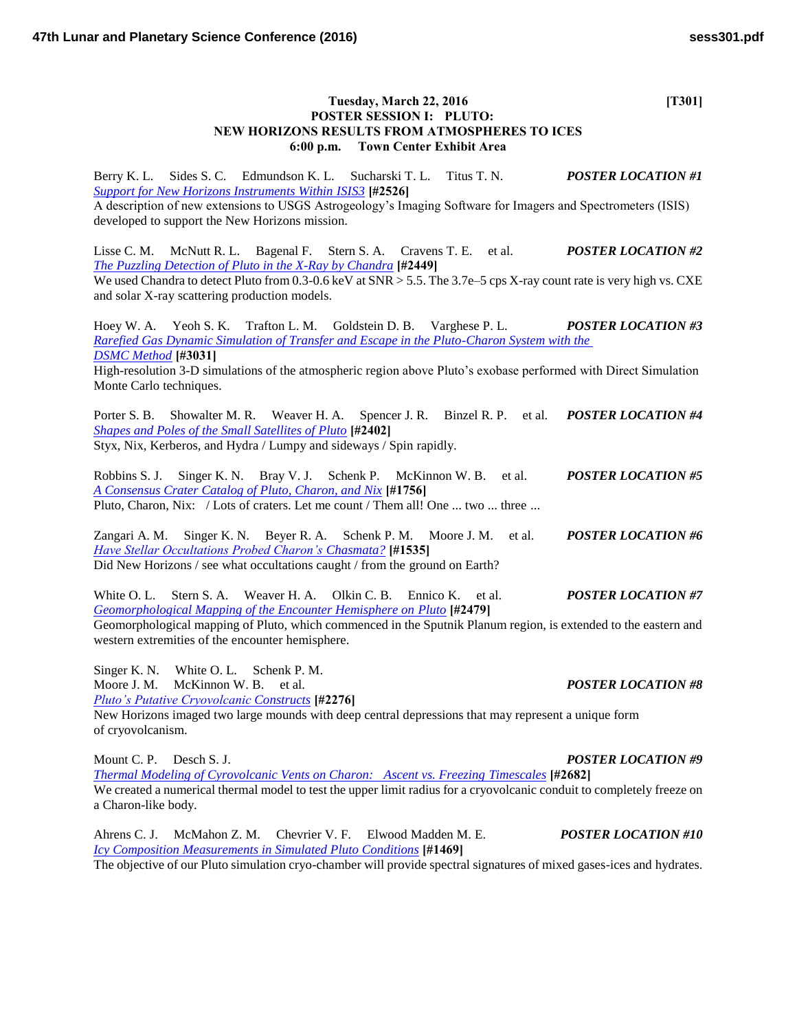| Tuesday, March 22, 2016<br>POSTER SESSION I: PLUTO:<br>NEW HORIZONS RESULTS FROM ATMOSPHERES TO ICES<br>6:00 p.m. Town Center Exhibit Area                                                                                                                                                                                                       | [T301]                     |
|--------------------------------------------------------------------------------------------------------------------------------------------------------------------------------------------------------------------------------------------------------------------------------------------------------------------------------------------------|----------------------------|
| Berry K. L. Sides S. C. Edmundson K. L. Sucharski T. L. Titus T. N.<br><b>Support for New Horizons Instruments Within ISIS3 [#2526]</b><br>A description of new extensions to USGS Astrogeology's Imaging Software for Imagers and Spectrometers (ISIS)<br>developed to support the New Horizons mission.                                        | <b>POSTER LOCATION #1</b>  |
| Lisse C. M.<br>McNutt R. L. Bagenal F. Stern S. A. Cravens T. E. et al.<br>The Puzzling Detection of Pluto in the X-Ray by Chandra [#2449]<br>We used Chandra to detect Pluto from 0.3-0.6 keV at SNR > 5.5. The 3.7e-5 cps X-ray count rate is very high vs. CXE<br>and solar X-ray scattering production models.                               | <b>POSTER LOCATION #2</b>  |
| Hoey W. A. Yeoh S. K.<br>Trafton L. M. Goldstein D. B. Varghese P. L.<br>Rarefied Gas Dynamic Simulation of Transfer and Escape in the Pluto-Charon System with the<br><b>DSMC</b> Method [#3031]<br>High-resolution 3-D simulations of the atmospheric region above Pluto's exobase performed with Direct Simulation<br>Monte Carlo techniques. | <b>POSTER LOCATION #3</b>  |
| Weaver H. A. Spencer J. R. Binzel R. P. et al.<br>Porter S. B. Showalter M. R.<br><b>Shapes and Poles of the Small Satellites of Pluto</b> [#2402]<br>Styx, Nix, Kerberos, and Hydra / Lumpy and sideways / Spin rapidly.                                                                                                                        | <b>POSTER LOCATION #4</b>  |
| Robbins S. J.<br>Singer K. N. Bray V. J. Schenk P. McKinnon W. B. et al.<br>A Consensus Crater Catalog of Pluto, Charon, and Nix [#1756]<br>Pluto, Charon, Nix: / Lots of craters. Let me count / Them all! One  two  three                                                                                                                      | <b>POSTER LOCATION #5</b>  |
| Zangari A. M. Singer K. N. Beyer R. A. Schenk P. M. Moore J. M. et al.<br><b>Have Stellar Occultations Probed Charon's Chasmata?</b> [#1535]<br>Did New Horizons / see what occultations caught / from the ground on Earth?                                                                                                                      | <b>POSTER LOCATION #6</b>  |
| Stern S. A. Weaver H. A.<br>Olkin C. B.<br>White O. L.<br>Ennico K. et al.<br><b>Geomorphological Mapping of the Encounter Hemisphere on Pluto</b> [#2479]<br>Geomorphological mapping of Pluto, which commenced in the Sputnik Planum region, is extended to the eastern and<br>western extremities of the encounter hemisphere.                | <b>POSTER LOCATION #7</b>  |
| Singer K. N. White O. L. Schenk P. M.<br>Moore J. M. McKinnon W. B. et al.<br><b>Pluto's Putative Cryovolcanic Constructs</b> [#2276]<br>New Horizons imaged two large mounds with deep central depressions that may represent a unique form<br>of cryovolcanism.                                                                                | <b>POSTER LOCATION #8</b>  |
| Mount C. P. Desch S. J.<br><b>Thermal Modeling of Cyrovolcanic Vents on Charon: Ascent vs. Freezing Timescales [#2682]</b><br>We created a numerical thermal model to test the upper limit radius for a cryovolcanic conduit to completely freeze on<br>a Charon-like body.                                                                      | <b>POSTER LOCATION #9</b>  |
| Chevrier V. F. Elwood Madden M. E.<br>Ahrens C. J.<br>McMahon Z. M.<br><b>Icy Composition Measurements in Simulated Pluto Conditions</b> [#1469]<br>The objective of our Pluto simulation cryo-chamber will provide spectral signatures of mixed gases-ices and hydrates.                                                                        | <b>POSTER LOCATION #10</b> |